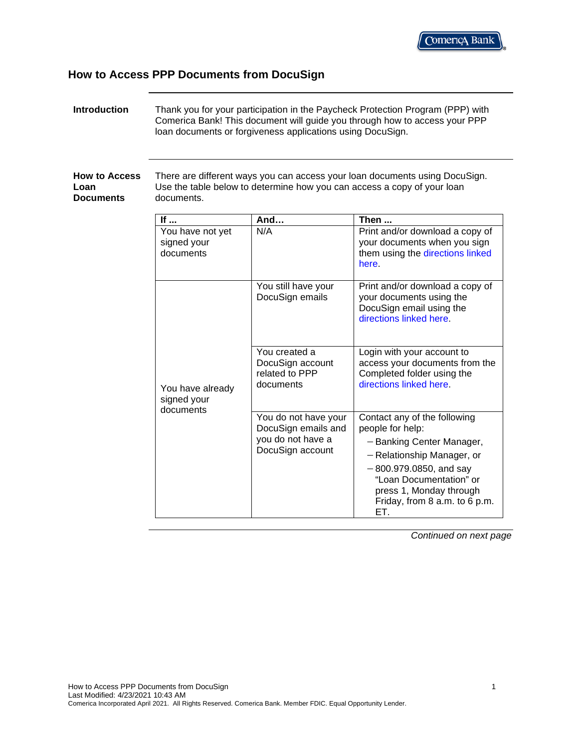# **How to Access PPP Documents from DocuSign**

| <b>Introduction</b>                              |                                              | Ioan documents or forgiveness applications using DocuSign.                           | Thank you for your participation in the Paycheck Protection Program (PPP) with<br>Comerica Bank! This document will guide you through how to access your PPP                                                                           |
|--------------------------------------------------|----------------------------------------------|--------------------------------------------------------------------------------------|----------------------------------------------------------------------------------------------------------------------------------------------------------------------------------------------------------------------------------------|
| <b>How to Access</b><br>Loan<br><b>Documents</b> | documents.                                   |                                                                                      | There are different ways you can access your loan documents using DocuSign.<br>Use the table below to determine how you can access a copy of your loan                                                                                 |
|                                                  | If $\ldots$                                  | And                                                                                  | Then                                                                                                                                                                                                                                   |
|                                                  | You have not yet<br>signed your<br>documents | N/A                                                                                  | Print and/or download a copy of<br>your documents when you sign<br>them using the directions linked<br>here.                                                                                                                           |
|                                                  |                                              | You still have your<br>DocuSign emails                                               | Print and/or download a copy of<br>your documents using the<br>DocuSign email using the<br>directions linked here.                                                                                                                     |
|                                                  | You have already<br>signed your<br>documents | You created a<br>DocuSign account<br>related to PPP<br>documents                     | Login with your account to<br>access your documents from the<br>Completed folder using the<br>directions linked here.                                                                                                                  |
|                                                  |                                              | You do not have your<br>DocuSign emails and<br>you do not have a<br>DocuSign account | Contact any of the following<br>people for help:<br>- Banking Center Manager,<br>- Relationship Manager, or<br>$-800.979.0850$ , and say<br>"Loan Documentation" or<br>press 1, Monday through<br>Friday, from 8 a.m. to 6 p.m.<br>ET. |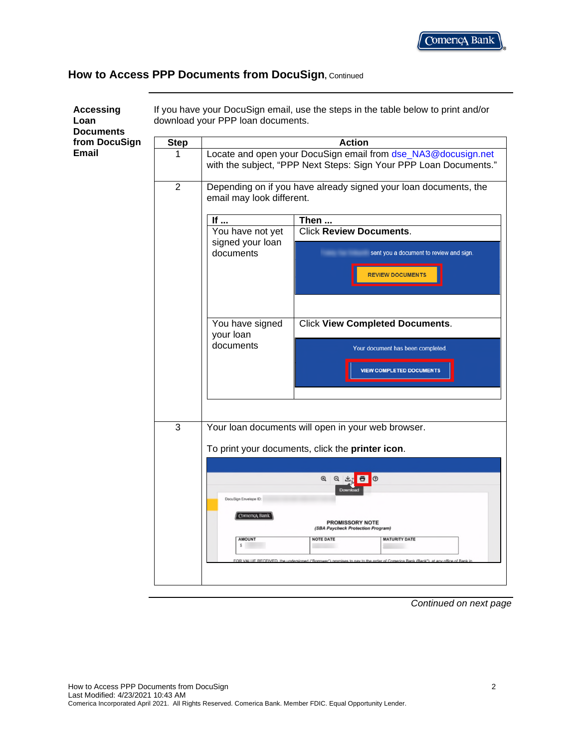<span id="page-1-0"></span>

| <b>Accessing</b><br>Loan<br><b>Documents</b> |                | If you have your DocuSign email, use the steps in the table below to print and/or<br>download your PPP loan documents.                                                                                 |  |  |
|----------------------------------------------|----------------|--------------------------------------------------------------------------------------------------------------------------------------------------------------------------------------------------------|--|--|
| from DocuSign                                | <b>Step</b>    | <b>Action</b>                                                                                                                                                                                          |  |  |
| <b>Email</b>                                 | 1              | Locate and open your DocuSign email from dse_NA3@docusign.net<br>with the subject, "PPP Next Steps: Sign Your PPP Loan Documents."<br>Depending on if you have already signed your loan documents, the |  |  |
|                                              | $\overline{2}$ | email may look different.                                                                                                                                                                              |  |  |
|                                              |                | If $\ldots$<br>Then                                                                                                                                                                                    |  |  |
|                                              |                | <b>Click Review Documents.</b><br>You have not yet<br>signed your loan                                                                                                                                 |  |  |
|                                              |                | documents<br>sent you a document to review and sign.<br><b>REVIEW DOCUMENTS</b>                                                                                                                        |  |  |
|                                              |                |                                                                                                                                                                                                        |  |  |
|                                              |                | You have signed<br><b>Click View Completed Documents.</b><br>your loan                                                                                                                                 |  |  |
|                                              |                | documents<br>Your document has been completed.                                                                                                                                                         |  |  |
|                                              |                | <b>VIEW COMPLETED DOCUMENTS</b>                                                                                                                                                                        |  |  |
|                                              | 3              | Your loan documents will open in your web browser.                                                                                                                                                     |  |  |
|                                              |                | To print your documents, click the printer icon.                                                                                                                                                       |  |  |
|                                              |                |                                                                                                                                                                                                        |  |  |
|                                              |                | $^{\circ}$<br>日 上<br>$\circ$<br>6<br>Down                                                                                                                                                              |  |  |
|                                              |                | DocuSign Envelope ID:                                                                                                                                                                                  |  |  |
|                                              |                | Comença Bank<br>PROMISSORY NOTE<br>(SBA Paycheck Protection Program)                                                                                                                                   |  |  |
|                                              |                | AMOUNT<br><b>NOTE DATE</b><br><b>MATURITY DATE</b>                                                                                                                                                     |  |  |
|                                              |                |                                                                                                                                                                                                        |  |  |
|                                              |                |                                                                                                                                                                                                        |  |  |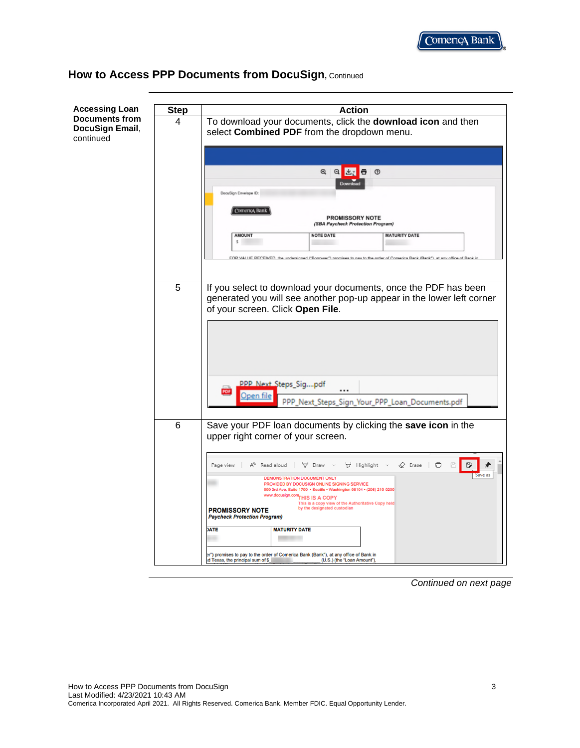

| <b>Accessing Loan</b>                                 | <b>Step</b> | <b>Action</b>                                                                                                                                                                                                                                                                                                 |
|-------------------------------------------------------|-------------|---------------------------------------------------------------------------------------------------------------------------------------------------------------------------------------------------------------------------------------------------------------------------------------------------------------|
| <b>Documents from</b><br>DocuSign Email,<br>continued | 4           | To download your documents, click the download icon and then<br>select Combined PDF from the dropdown menu.                                                                                                                                                                                                   |
|                                                       |             | $^{\circ}$<br>$^{\circ}$<br>$\circ$<br>Download<br>DocuSign Envelope ID:                                                                                                                                                                                                                                      |
|                                                       |             | Comença Bank<br><b>PROMISSORY NOTE</b><br>(SBA Paycheck Protection Program)<br><b>AMOUNT</b><br><b>NOTE DATE</b><br><b>MATURITY DATE</b><br>s                                                                                                                                                                 |
|                                                       | 5           | If you select to download your documents, once the PDF has been<br>generated you will see another pop-up appear in the lower left corner<br>of your screen. Click Open File.                                                                                                                                  |
|                                                       |             |                                                                                                                                                                                                                                                                                                               |
|                                                       |             | PPP Next Steps Sigpdf<br><br>PDF<br>Open file<br>PPP_Next_Steps_Sign_Your_PPP_Loan_Documents.pdf                                                                                                                                                                                                              |
|                                                       | 6           | Save your PDF loan documents by clicking the save icon in the<br>upper right corner of your screen.                                                                                                                                                                                                           |
|                                                       |             | A <sup>h</sup> Read aloud<br>∀ Highlight ∨<br>$\Diamond$ Erase $\Box$<br>₿<br>Page view<br>Draw<br>日<br>Save as<br>DEMONSTRATION DOCUMENT ONLY                                                                                                                                                                |
|                                                       |             | PROVIDED BY DOCUSIGN ONLINE SIGNING SERVICE<br>999 3rd Ave, Suite 1700 - Seattle - Washington 98104 - (206) 219-0200<br>www.docusign.com THIS IS A COPY<br>This is a copy view of the Authoritative Copy held<br>by the designated custodian<br><b>PROMISSORY NOTE</b><br><b>Paycheck Protection Program)</b> |
|                                                       |             | <b>DATE</b><br><b>MATURITY DATE</b>                                                                                                                                                                                                                                                                           |
|                                                       |             | er") promises to pay to the order of Comerica Bank (Bank"), at any office of Bank in<br>(U.S.) (the "Loan Amount"),<br>d Texas, the principal sum of \$                                                                                                                                                       |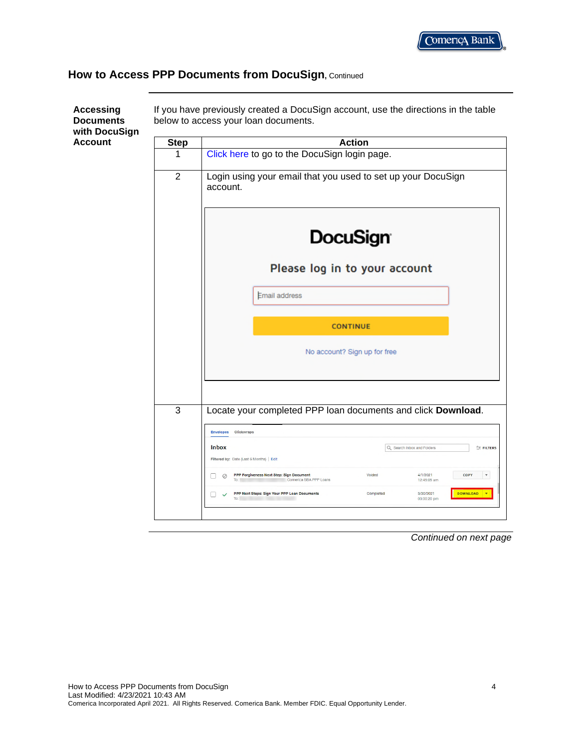<span id="page-3-0"></span>

| with DocuSign  |                |                                                                                                                                                                                         |
|----------------|----------------|-----------------------------------------------------------------------------------------------------------------------------------------------------------------------------------------|
| <b>Account</b> | <b>Step</b>    | <b>Action</b>                                                                                                                                                                           |
|                | 1              | Click here to go to the DocuSign login page.                                                                                                                                            |
|                | $\overline{2}$ | Login using your email that you used to set up your DocuSign<br>account.                                                                                                                |
|                |                | <b>DocuSign</b>                                                                                                                                                                         |
|                |                | Please log in to your account                                                                                                                                                           |
|                |                | <b>Email address</b>                                                                                                                                                                    |
|                |                | <b>CONTINUE</b>                                                                                                                                                                         |
|                |                | No account? Sign up for free                                                                                                                                                            |
|                | 3              | Locate your completed PPP loan documents and click Download.                                                                                                                            |
|                |                | Envelopes Clickwraps                                                                                                                                                                    |
|                |                | <b>Inbox</b><br>Q Search Inbox and Folders<br>FILTERS                                                                                                                                   |
|                |                | Filtered by: Date (Last 6 Months)   Edit<br>PPP Forgiveness Next Step: Sign Document<br>Voided<br>4/1/2021<br>COPY<br>$\mathbf v$<br>$\oslash$<br>Comerica SBA PPP Loans<br>12:45:05 am |
|                |                | <b>DOWNLOAD</b><br>PPP Next Steps: Sign Your PPP Loan Documents<br>Completed<br>3/30/2021<br>03:00:20 pm<br>To:                                                                         |

*Continued on next page*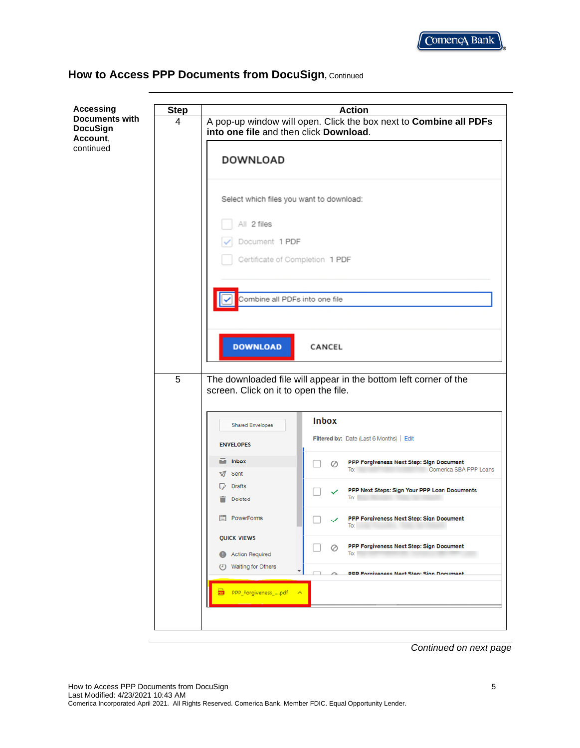

| <b>Accessing</b><br><b>Documents with</b><br><b>DocuSign</b><br>Account,<br>continued | <b>Step</b>    | <b>Action</b>                                                                                               |
|---------------------------------------------------------------------------------------|----------------|-------------------------------------------------------------------------------------------------------------|
|                                                                                       | 4              | A pop-up window will open. Click the box next to Combine all PDFs<br>into one file and then click Download. |
|                                                                                       |                | <b>DOWNLOAD</b>                                                                                             |
|                                                                                       |                | Select which files you want to download:                                                                    |
|                                                                                       |                | All 2 files<br>Document 1 PDF                                                                               |
|                                                                                       |                | Certificate of Completion 1 PDF                                                                             |
|                                                                                       |                | Combine all PDFs into one file                                                                              |
|                                                                                       |                | <b>DOWNLOAD</b><br>CANCEL                                                                                   |
|                                                                                       | $\overline{5}$ | The downloaded file will appear in the bottom left corner of the<br>screen. Click on it to open the file.   |
|                                                                                       |                | <b>Inbox</b><br><b>Shared Envelopes</b>                                                                     |
|                                                                                       |                | Filtered by: Date (Last 6 Months)   Edit<br><b>ENVELOPES</b>                                                |
|                                                                                       |                | Inbox<br>м<br>PPP Forgiveness Next Step: Sign Document<br>Ø<br>Comerica SBA PPP Loans<br>To:<br>Sent<br>Ю   |
|                                                                                       |                | <b>Drafts</b><br>PPP Next Steps: Sign Your PPP Loan Documents<br>To:<br><b>Deleted</b>                      |
|                                                                                       |                | PowerForms<br>E<br>PPP Forgiveness Next Step: Sign Document<br>IO.                                          |
|                                                                                       |                | <b>QUICK VIEWS</b><br>PPP Forgiveness Next Step: Sign Document<br>Ø<br>To: 1<br><b>Action Required</b><br>Œ |
|                                                                                       |                | <b>Waiting for Others</b><br>⊙<br>$\blacktriangledown$<br><b>DDD Fornivangee Navt Stan: Sinn Document</b>   |
|                                                                                       |                | 國<br>PPP_Forgiveness_pdf<br>$\hat{\phantom{a}}$                                                             |
|                                                                                       |                |                                                                                                             |